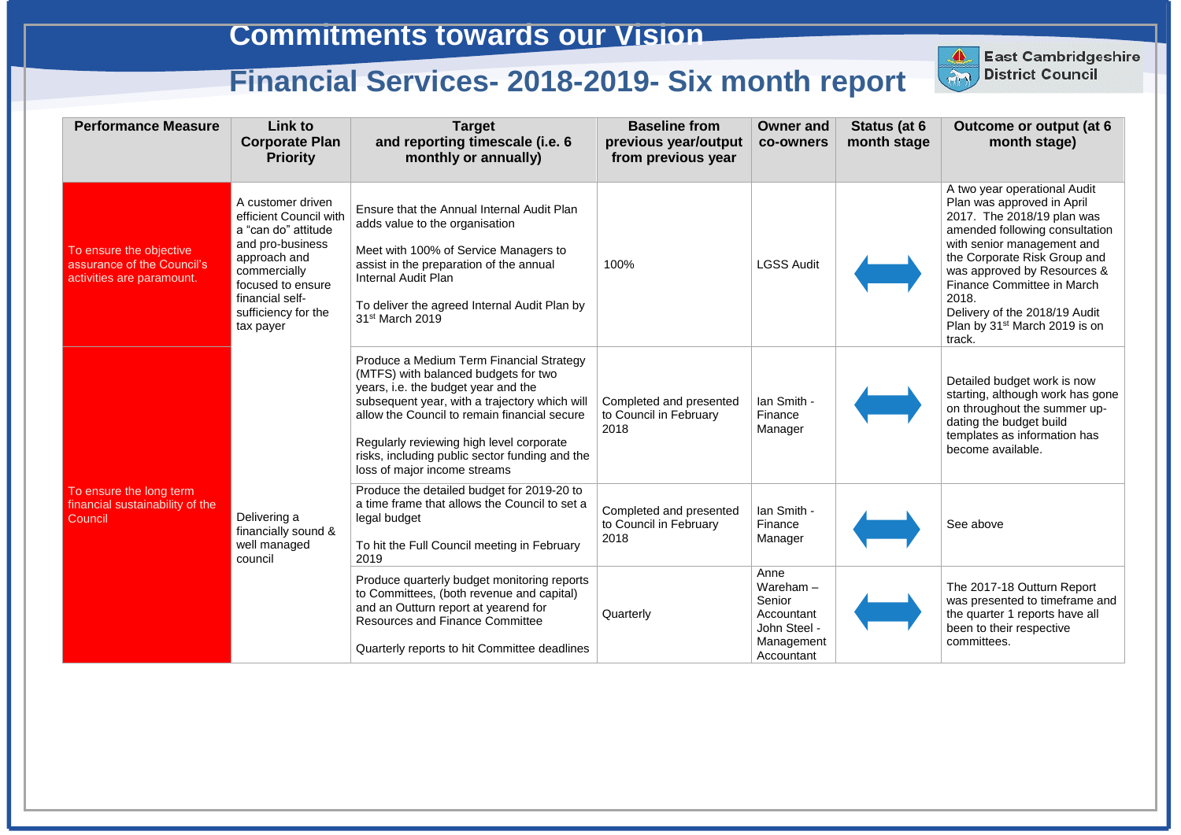| <b>Performance Measure</b>                                                         | <b>Link to</b><br><b>Corporate Plan</b><br><b>Priority</b>                                                                                                                                         | <b>Target</b><br>and reporting timescale (i.e. 6<br>monthly or annually)                                                                                                                                                                                                                                                                               | <b>Baseline from</b><br>previous year/output<br>from previous year | <b>Owner and</b><br>co-owners                                                           | Status (at 6<br>month stage | <b>Outcome or output (at 6)</b><br>month stage)                                                                                                                                                                                                                                                                                                        |
|------------------------------------------------------------------------------------|----------------------------------------------------------------------------------------------------------------------------------------------------------------------------------------------------|--------------------------------------------------------------------------------------------------------------------------------------------------------------------------------------------------------------------------------------------------------------------------------------------------------------------------------------------------------|--------------------------------------------------------------------|-----------------------------------------------------------------------------------------|-----------------------------|--------------------------------------------------------------------------------------------------------------------------------------------------------------------------------------------------------------------------------------------------------------------------------------------------------------------------------------------------------|
| To ensure the objective<br>assurance of the Council's<br>activities are paramount. | A customer driven<br>efficient Council with<br>a "can do" attitude<br>and pro-business<br>approach and<br>commercially<br>focused to ensure<br>financial self-<br>sufficiency for the<br>tax payer | Ensure that the Annual Internal Audit Plan<br>adds value to the organisation<br>Meet with 100% of Service Managers to<br>assist in the preparation of the annual<br><b>Internal Audit Plan</b><br>To deliver the agreed Internal Audit Plan by<br>31 <sup>st</sup> March 2019                                                                          | 100%                                                               | <b>LGSS Audit</b>                                                                       |                             | A two year operational Audit<br>Plan was approved in April<br>2017. The 2018/19 plan was<br>amended following consultation<br>with senior management and<br>the Corporate Risk Group and<br>was approved by Resources &<br>Finance Committee in March<br>2018.<br>Delivery of the 2018/19 Audit<br>Plan by 31 <sup>st</sup> March 2019 is on<br>track. |
|                                                                                    |                                                                                                                                                                                                    | Produce a Medium Term Financial Strategy<br>(MTFS) with balanced budgets for two<br>years, i.e. the budget year and the<br>subsequent year, with a trajectory which will<br>allow the Council to remain financial secure<br>Regularly reviewing high level corporate<br>risks, including public sector funding and the<br>loss of major income streams | Completed and presented<br>to Council in February<br>2018          | Ian Smith -<br>Finance<br>Manager                                                       |                             | Detailed budget work is now<br>starting, although work has gone<br>on throughout the summer up-<br>dating the budget build<br>templates as information has<br>become available.                                                                                                                                                                        |
| To ensure the long term<br>financial sustainability of the<br>Council              | Delivering a<br>financially sound &<br>well managed<br>council                                                                                                                                     | Produce the detailed budget for 2019-20 to<br>a time frame that allows the Council to set a<br>legal budget<br>To hit the Full Council meeting in February<br>2019                                                                                                                                                                                     | Completed and presented<br>to Council in February<br>2018          | Ian Smith -<br>Finance<br>Manager                                                       |                             | See above                                                                                                                                                                                                                                                                                                                                              |
|                                                                                    |                                                                                                                                                                                                    | Produce quarterly budget monitoring reports<br>to Committees, (both revenue and capital)<br>and an Outturn report at yearend for<br><b>Resources and Finance Committee</b><br>Quarterly reports to hit Committee deadlines                                                                                                                             | Quarterly                                                          | Anne<br>Wareham $-$<br>Senior<br>Accountant<br>John Steel -<br>Management<br>Accountant |                             | The 2017-18 Outturn Report<br>was presented to timeframe and<br>the quarter 1 reports have all<br>been to their respective<br>committees.                                                                                                                                                                                                              |



**East Cambridgeshire District Council**

East Cambridgeshire<br>District Council

## **Commitments towards our Vision**

# **Financial Services- 2018-2019- Six month report**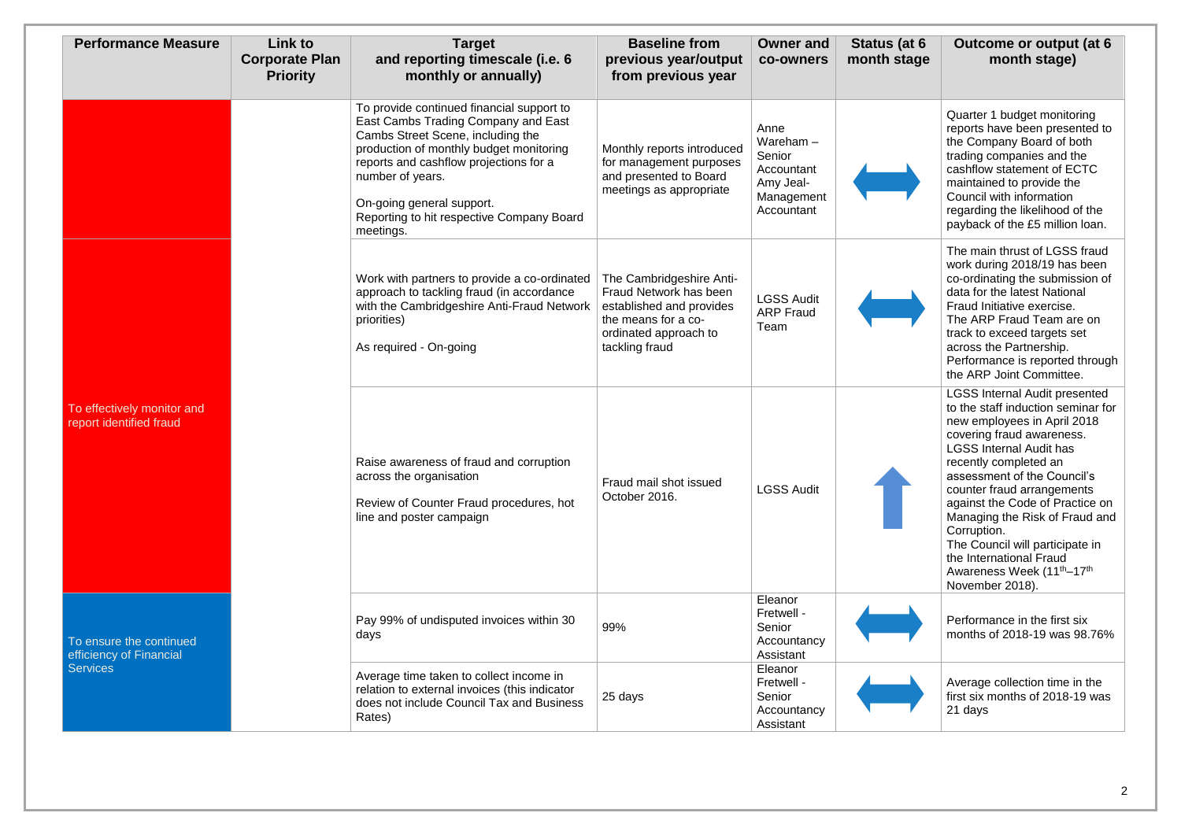| <b>Performance Measure</b>                                            | <b>Link to</b><br><b>Corporate Plan</b><br><b>Priority</b> | <b>Target</b><br>and reporting timescale (i.e. 6<br>monthly or annually)                                                                                                                                                                                                                                              | <b>Baseline from</b><br>previous year/output<br>from previous year                                                                               | <b>Owner and</b><br>co-owners                                                        | Status (at 6<br>month stage | <b>Outcome or output (at 6)</b><br>month stage)                                                                                                                                                                                                                                                                                                                                                                                                                                           |
|-----------------------------------------------------------------------|------------------------------------------------------------|-----------------------------------------------------------------------------------------------------------------------------------------------------------------------------------------------------------------------------------------------------------------------------------------------------------------------|--------------------------------------------------------------------------------------------------------------------------------------------------|--------------------------------------------------------------------------------------|-----------------------------|-------------------------------------------------------------------------------------------------------------------------------------------------------------------------------------------------------------------------------------------------------------------------------------------------------------------------------------------------------------------------------------------------------------------------------------------------------------------------------------------|
|                                                                       |                                                            | To provide continued financial support to<br>East Cambs Trading Company and East<br>Cambs Street Scene, including the<br>production of monthly budget monitoring<br>reports and cashflow projections for a<br>number of years.<br>On-going general support.<br>Reporting to hit respective Company Board<br>meetings. | Monthly reports introduced<br>for management purposes<br>and presented to Board<br>meetings as appropriate                                       | Anne<br>Wareham $-$<br>Senior<br>Accountant<br>Amy Jeal-<br>Management<br>Accountant |                             | Quarter 1 budget monitoring<br>reports have been presented to<br>the Company Board of both<br>trading companies and the<br>cashflow statement of ECTC<br>maintained to provide the<br>Council with information<br>regarding the likelihood of the<br>payback of the £5 million loan.                                                                                                                                                                                                      |
| To effectively monitor and<br>report identified fraud                 |                                                            | Work with partners to provide a co-ordinated<br>approach to tackling fraud (in accordance<br>with the Cambridgeshire Anti-Fraud Network<br>priorities)<br>As required - On-going                                                                                                                                      | The Cambridgeshire Anti-<br>Fraud Network has been<br>established and provides<br>the means for a co-<br>ordinated approach to<br>tackling fraud | <b>LGSS Audit</b><br><b>ARP Fraud</b><br>Team                                        |                             | The main thrust of LGSS fraud<br>work during 2018/19 has been<br>co-ordinating the submission of<br>data for the latest National<br>Fraud Initiative exercise.<br>The ARP Fraud Team are on<br>track to exceed targets set<br>across the Partnership.<br>Performance is reported through<br>the ARP Joint Committee.                                                                                                                                                                      |
|                                                                       |                                                            | Raise awareness of fraud and corruption<br>across the organisation<br>Review of Counter Fraud procedures, hot<br>line and poster campaign                                                                                                                                                                             | Fraud mail shot issued<br>October 2016.                                                                                                          | <b>LGSS Audit</b>                                                                    |                             | <b>LGSS Internal Audit presented</b><br>to the staff induction seminar for<br>new employees in April 2018<br>covering fraud awareness.<br><b>LGSS Internal Audit has</b><br>recently completed an<br>assessment of the Council's<br>counter fraud arrangements<br>against the Code of Practice on<br>Managing the Risk of Fraud and<br>Corruption.<br>The Council will participate in<br>the International Fraud<br>Awareness Week (11 <sup>th</sup> -17 <sup>th</sup><br>November 2018). |
| To ensure the continued<br>efficiency of Financial<br><b>Services</b> |                                                            | Pay 99% of undisputed invoices within 30<br>days                                                                                                                                                                                                                                                                      | 99%                                                                                                                                              | Eleanor<br>Fretwell -<br>Senior<br>Accountancy<br>Assistant                          |                             | Performance in the first six<br>months of 2018-19 was 98.76%                                                                                                                                                                                                                                                                                                                                                                                                                              |
|                                                                       |                                                            | Average time taken to collect income in<br>relation to external invoices (this indicator<br>does not include Council Tax and Business<br>Rates)                                                                                                                                                                       | 25 days                                                                                                                                          | Eleanor<br>Fretwell -<br>Senior<br>Accountancy<br>Assistant                          |                             | Average collection time in the<br>first six months of 2018-19 was<br>21 days                                                                                                                                                                                                                                                                                                                                                                                                              |